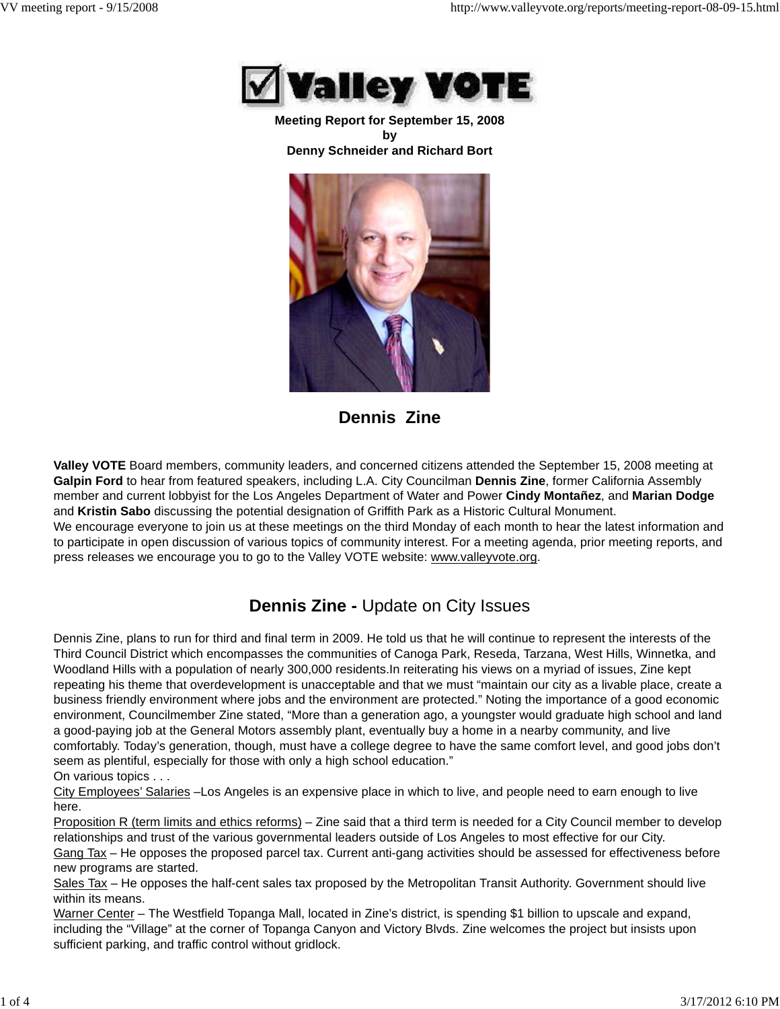

**Meeting Report for September 15, 2008 by Denny Schneider and Richard Bort**



**Dennis Zine**

**Valley VOTE** Board members, community leaders, and concerned citizens attended the September 15, 2008 meeting at **Galpin Ford** to hear from featured speakers, including L.A. City Councilman **Dennis Zine**, former California Assembly member and current lobbyist for the Los Angeles Department of Water and Power **Cindy Montañez**, and **Marian Dodge** and **Kristin Sabo** discussing the potential designation of Griffith Park as a Historic Cultural Monument.

We encourage everyone to join us at these meetings on the third Monday of each month to hear the latest information and to participate in open discussion of various topics of community interest. For a meeting agenda, prior meeting reports, and press releases we encourage you to go to the Valley VOTE website: www.valleyvote.org.

## **Dennis Zine -** Update on City Issues

Dennis Zine, plans to run for third and final term in 2009. He told us that he will continue to represent the interests of the Third Council District which encompasses the communities of Canoga Park, Reseda, Tarzana, West Hills, Winnetka, and Woodland Hills with a population of nearly 300,000 residents.In reiterating his views on a myriad of issues, Zine kept repeating his theme that overdevelopment is unacceptable and that we must "maintain our city as a livable place, create a business friendly environment where jobs and the environment are protected." Noting the importance of a good economic environment, Councilmember Zine stated, "More than a generation ago, a youngster would graduate high school and land a good-paying job at the General Motors assembly plant, eventually buy a home in a nearby community, and live comfortably. Today's generation, though, must have a college degree to have the same comfort level, and good jobs don't seem as plentiful, especially for those with only a high school education." On various topics . . .

City Employees' Salaries –Los Angeles is an expensive place in which to live, and people need to earn enough to live here.

Proposition R (term limits and ethics reforms) – Zine said that a third term is needed for a City Council member to develop relationships and trust of the various governmental leaders outside of Los Angeles to most effective for our City. Gang Tax – He opposes the proposed parcel tax. Current anti-gang activities should be assessed for effectiveness before new programs are started.

Sales Tax – He opposes the half-cent sales tax proposed by the Metropolitan Transit Authority. Government should live within its means.

Warner Center – The Westfield Topanga Mall, located in Zine's district, is spending \$1 billion to upscale and expand, including the "Village" at the corner of Topanga Canyon and Victory Blvds. Zine welcomes the project but insists upon sufficient parking, and traffic control without gridlock.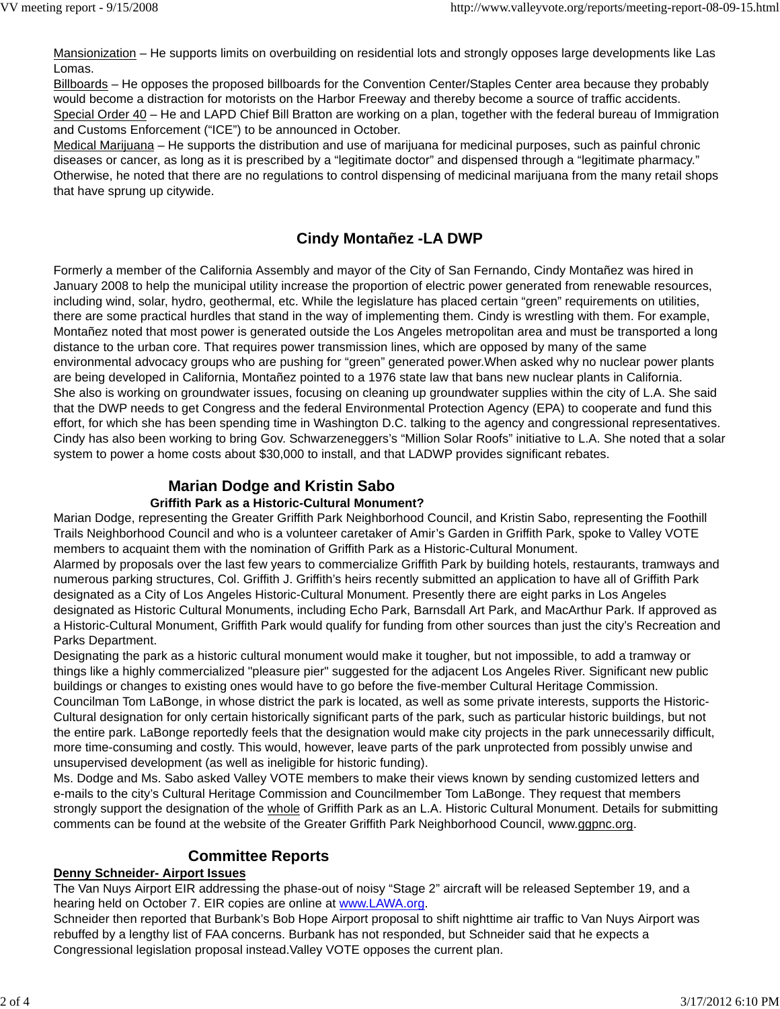Mansionization – He supports limits on overbuilding on residential lots and strongly opposes large developments like Las Lomas.

Billboards – He opposes the proposed billboards for the Convention Center/Staples Center area because they probably would become a distraction for motorists on the Harbor Freeway and thereby become a source of traffic accidents. Special Order 40 – He and LAPD Chief Bill Bratton are working on a plan, together with the federal bureau of Immigration and Customs Enforcement ("ICE") to be announced in October.

Medical Marijuana – He supports the distribution and use of marijuana for medicinal purposes, such as painful chronic diseases or cancer, as long as it is prescribed by a "legitimate doctor" and dispensed through a "legitimate pharmacy." Otherwise, he noted that there are no regulations to control dispensing of medicinal marijuana from the many retail shops that have sprung up citywide.

## **Cindy Montañez -LA DWP**

Formerly a member of the California Assembly and mayor of the City of San Fernando, Cindy Montañez was hired in January 2008 to help the municipal utility increase the proportion of electric power generated from renewable resources, including wind, solar, hydro, geothermal, etc. While the legislature has placed certain "green" requirements on utilities, there are some practical hurdles that stand in the way of implementing them. Cindy is wrestling with them. For example, Montañez noted that most power is generated outside the Los Angeles metropolitan area and must be transported a long distance to the urban core. That requires power transmission lines, which are opposed by many of the same environmental advocacy groups who are pushing for "green" generated power.When asked why no nuclear power plants are being developed in California, Montañez pointed to a 1976 state law that bans new nuclear plants in California. She also is working on groundwater issues, focusing on cleaning up groundwater supplies within the city of L.A. She said that the DWP needs to get Congress and the federal Environmental Protection Agency (EPA) to cooperate and fund this effort, for which she has been spending time in Washington D.C. talking to the agency and congressional representatives. Cindy has also been working to bring Gov. Schwarzeneggers's "Million Solar Roofs" initiative to L.A. She noted that a solar system to power a home costs about \$30,000 to install, and that LADWP provides significant rebates.

# **Marian Dodge and Kristin Sabo**

#### **Griffith Park as a Historic-Cultural Monument?**

Marian Dodge, representing the Greater Griffith Park Neighborhood Council, and Kristin Sabo, representing the Foothill Trails Neighborhood Council and who is a volunteer caretaker of Amir's Garden in Griffith Park, spoke to Valley VOTE members to acquaint them with the nomination of Griffith Park as a Historic-Cultural Monument.

Alarmed by proposals over the last few years to commercialize Griffith Park by building hotels, restaurants, tramways and numerous parking structures, Col. Griffith J. Griffith's heirs recently submitted an application to have all of Griffith Park designated as a City of Los Angeles Historic-Cultural Monument. Presently there are eight parks in Los Angeles designated as Historic Cultural Monuments, including Echo Park, Barnsdall Art Park, and MacArthur Park. If approved as a Historic-Cultural Monument, Griffith Park would qualify for funding from other sources than just the city's Recreation and Parks Department.

Designating the park as a historic cultural monument would make it tougher, but not impossible, to add a tramway or things like a highly commercialized "pleasure pier" suggested for the adjacent Los Angeles River. Significant new public buildings or changes to existing ones would have to go before the five-member Cultural Heritage Commission. Councilman Tom LaBonge, in whose district the park is located, as well as some private interests, supports the Historic-Cultural designation for only certain historically significant parts of the park, such as particular historic buildings, but not the entire park. LaBonge reportedly feels that the designation would make city projects in the park unnecessarily difficult, more time-consuming and costly. This would, however, leave parts of the park unprotected from possibly unwise and unsupervised development (as well as ineligible for historic funding).

Ms. Dodge and Ms. Sabo asked Valley VOTE members to make their views known by sending customized letters and e-mails to the city's Cultural Heritage Commission and Councilmember Tom LaBonge. They request that members strongly support the designation of the whole of Griffith Park as an L.A. Historic Cultural Monument. Details for submitting comments can be found at the website of the Greater Griffith Park Neighborhood Council, www.ggpnc.org.

### **Committee Reports**

#### **Denny Schneider- Airport Issues**

The Van Nuys Airport EIR addressing the phase-out of noisy "Stage 2" aircraft will be released September 19, and a hearing held on October 7. EIR copies are online at www.LAWA.org.

Schneider then reported that Burbank's Bob Hope Airport proposal to shift nighttime air traffic to Van Nuys Airport was rebuffed by a lengthy list of FAA concerns. Burbank has not responded, but Schneider said that he expects a Congressional legislation proposal instead.Valley VOTE opposes the current plan.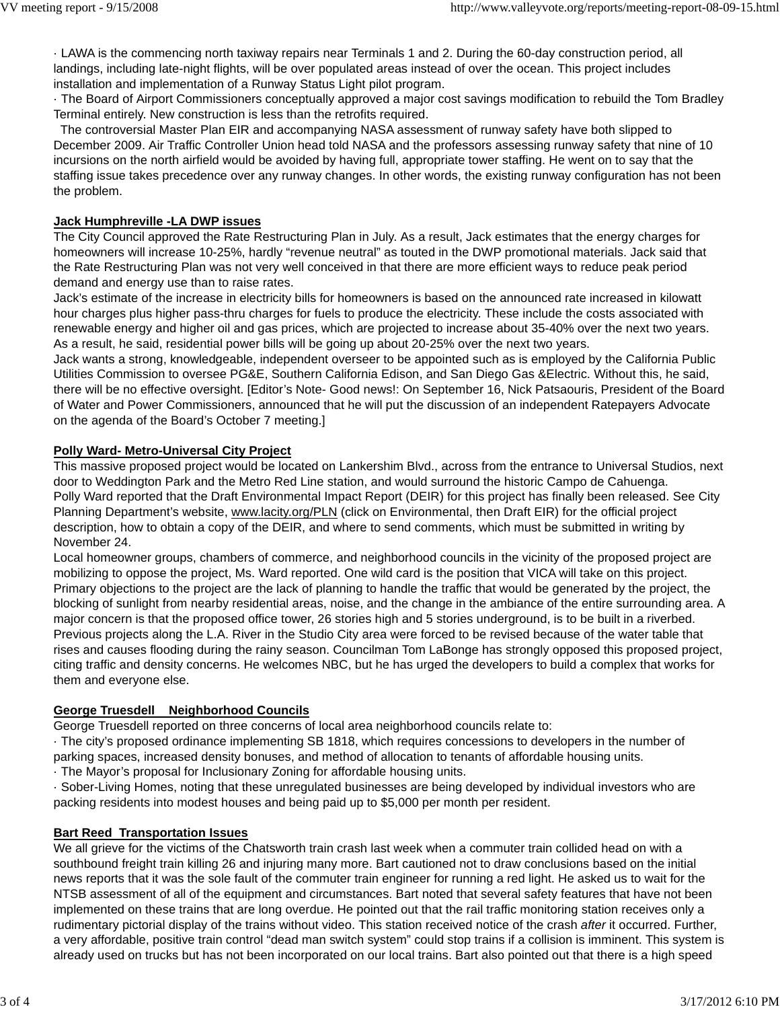· LAWA is the commencing north taxiway repairs near Terminals 1 and 2. During the 60-day construction period, all landings, including late-night flights, will be over populated areas instead of over the ocean. This project includes installation and implementation of a Runway Status Light pilot program.

· The Board of Airport Commissioners conceptually approved a major cost savings modification to rebuild the Tom Bradley Terminal entirely. New construction is less than the retrofits required.

 The controversial Master Plan EIR and accompanying NASA assessment of runway safety have both slipped to December 2009. Air Traffic Controller Union head told NASA and the professors assessing runway safety that nine of 10 incursions on the north airfield would be avoided by having full, appropriate tower staffing. He went on to say that the staffing issue takes precedence over any runway changes. In other words, the existing runway configuration has not been the problem.

#### **Jack Humphreville -LA DWP issues**

The City Council approved the Rate Restructuring Plan in July. As a result, Jack estimates that the energy charges for homeowners will increase 10-25%, hardly "revenue neutral" as touted in the DWP promotional materials. Jack said that the Rate Restructuring Plan was not very well conceived in that there are more efficient ways to reduce peak period demand and energy use than to raise rates.

Jack's estimate of the increase in electricity bills for homeowners is based on the announced rate increased in kilowatt hour charges plus higher pass-thru charges for fuels to produce the electricity. These include the costs associated with renewable energy and higher oil and gas prices, which are projected to increase about 35-40% over the next two years. As a result, he said, residential power bills will be going up about 20-25% over the next two years.

Jack wants a strong, knowledgeable, independent overseer to be appointed such as is employed by the California Public Utilities Commission to oversee PG&E, Southern California Edison, and San Diego Gas &Electric. Without this, he said, there will be no effective oversight. [Editor's Note- Good news!: On September 16, Nick Patsaouris, President of the Board of Water and Power Commissioners, announced that he will put the discussion of an independent Ratepayers Advocate on the agenda of the Board's October 7 meeting.]

#### **Polly Ward- Metro-Universal City Project**

This massive proposed project would be located on Lankershim Blvd., across from the entrance to Universal Studios, next door to Weddington Park and the Metro Red Line station, and would surround the historic Campo de Cahuenga. Polly Ward reported that the Draft Environmental Impact Report (DEIR) for this project has finally been released. See City Planning Department's website, www.lacity.org/PLN (click on Environmental, then Draft EIR) for the official project description, how to obtain a copy of the DEIR, and where to send comments, which must be submitted in writing by November 24.

Local homeowner groups, chambers of commerce, and neighborhood councils in the vicinity of the proposed project are mobilizing to oppose the project, Ms. Ward reported. One wild card is the position that VICA will take on this project. Primary objections to the project are the lack of planning to handle the traffic that would be generated by the project, the blocking of sunlight from nearby residential areas, noise, and the change in the ambiance of the entire surrounding area. A major concern is that the proposed office tower, 26 stories high and 5 stories underground, is to be built in a riverbed. Previous projects along the L.A. River in the Studio City area were forced to be revised because of the water table that rises and causes flooding during the rainy season. Councilman Tom LaBonge has strongly opposed this proposed project, citing traffic and density concerns. He welcomes NBC, but he has urged the developers to build a complex that works for them and everyone else.

#### **George Truesdell Neighborhood Councils**

George Truesdell reported on three concerns of local area neighborhood councils relate to:

· The city's proposed ordinance implementing SB 1818, which requires concessions to developers in the number of parking spaces, increased density bonuses, and method of allocation to tenants of affordable housing units.

· The Mayor's proposal for Inclusionary Zoning for affordable housing units.

· Sober-Living Homes, noting that these unregulated businesses are being developed by individual investors who are packing residents into modest houses and being paid up to \$5,000 per month per resident.

#### **Bart Reed Transportation Issues**

We all grieve for the victims of the Chatsworth train crash last week when a commuter train collided head on with a southbound freight train killing 26 and injuring many more. Bart cautioned not to draw conclusions based on the initial news reports that it was the sole fault of the commuter train engineer for running a red light. He asked us to wait for the NTSB assessment of all of the equipment and circumstances. Bart noted that several safety features that have not been implemented on these trains that are long overdue. He pointed out that the rail traffic monitoring station receives only a rudimentary pictorial display of the trains without video. This station received notice of the crash *after* it occurred. Further, a very affordable, positive train control "dead man switch system" could stop trains if a collision is imminent. This system is already used on trucks but has not been incorporated on our local trains. Bart also pointed out that there is a high speed